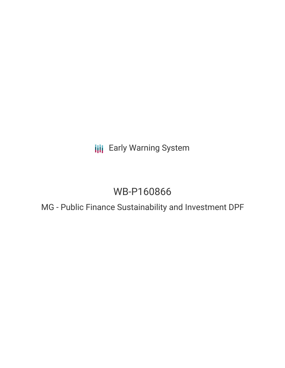**III** Early Warning System

# WB-P160866

MG - Public Finance Sustainability and Investment DPF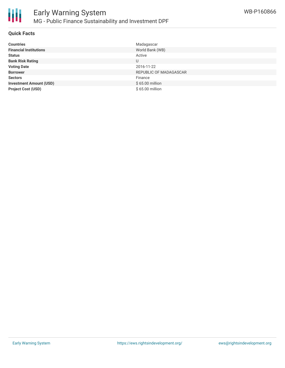

#### **Quick Facts**

| <b>Countries</b>               | Madagascar             |
|--------------------------------|------------------------|
| <b>Financial Institutions</b>  | World Bank (WB)        |
| <b>Status</b>                  | Active                 |
| <b>Bank Risk Rating</b>        | U                      |
| <b>Voting Date</b>             | 2016-11-22             |
| <b>Borrower</b>                | REPUBLIC OF MADAGASCAR |
| <b>Sectors</b>                 | Finance                |
| <b>Investment Amount (USD)</b> | \$65.00 million        |
| <b>Project Cost (USD)</b>      | \$65.00 million        |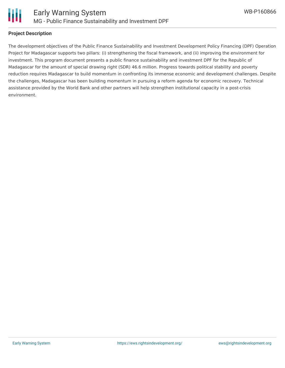

#### **Project Description**

The development objectives of the Public Finance Sustainability and Investment Development Policy Financing (DPF) Operation Project for Madagascar supports two pillars: (i) strengthening the fiscal framework, and (ii) improving the environment for investment. This program document presents a public finance sustainability and investment DPF for the Republic of Madagascar for the amount of special drawing right (SDR) 46.6 million. Progress towards political stability and poverty reduction requires Madagascar to build momentum in confronting its immense economic and development challenges. Despite the challenges, Madagascar has been building momentum in pursuing a reform agenda for economic recovery. Technical assistance provided by the World Bank and other partners will help strengthen institutional capacity in a post-crisis environment.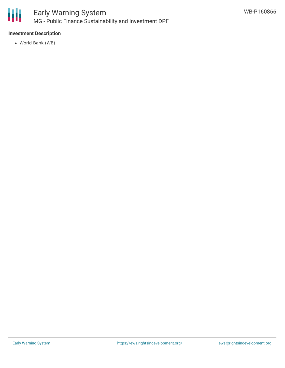

## Early Warning System MG - Public Finance Sustainability and Investment DPF

## **Investment Description**

World Bank (WB)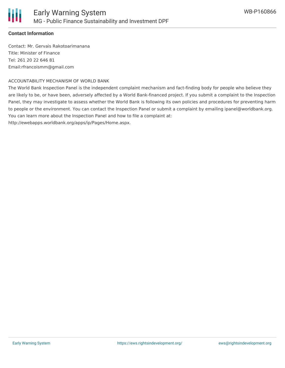

### **Contact Information**

Contact: Mr. Gervais Rakotoarimanana Title: Minister of Finance Tel: 261 20 22 646 81 Email:rfrancoismm@gmail.com

#### ACCOUNTABILITY MECHANISM OF WORLD BANK

The World Bank Inspection Panel is the independent complaint mechanism and fact-finding body for people who believe they are likely to be, or have been, adversely affected by a World Bank-financed project. If you submit a complaint to the Inspection Panel, they may investigate to assess whether the World Bank is following its own policies and procedures for preventing harm to people or the environment. You can contact the Inspection Panel or submit a complaint by emailing ipanel@worldbank.org. You can learn more about the Inspection Panel and how to file a complaint at:

http://ewebapps.worldbank.org/apps/ip/Pages/Home.aspx.